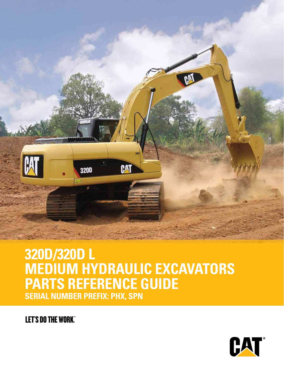

# **320D/320D L MEDIUM HYDRAULIC EXCAVATORS PARTS REFERENCE GUIDE SERIAL NUMBER PREFIX: PHX, SPN**

**LET'S DO THE WORK"** 

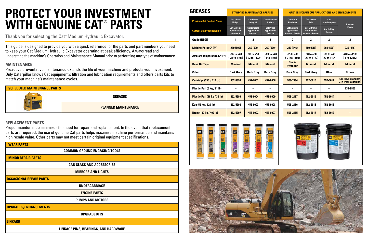| <b>SCHEDULED MAINTENANCE PARTS</b> |                            |  |  |  |  |
|------------------------------------|----------------------------|--|--|--|--|
|                                    | <b>GREASES</b>             |  |  |  |  |
|                                    | <b>PLANNED MAINTENANCE</b> |  |  |  |  |

This guide is designed to provide you with a quick reference for the parts and part numbers you need to keep your Cat Medium Hydraulic Excavator operating at peak efficiency. Always read and understand the machine's Operation and Maintenance Manual prior to performing any type of maintenance.

#### **MAINTENANCE**

Proactive preventative maintenance extends the life of your machine and protects your investment. Only Caterpillar knows Cat equipment's filtration and lubrication requirements and offers parts kits to match your machine's maintenance cycles.

#### **REPLACEMENT PARTS**

Proper maintenance minimizes the need for repair and replacement. In the event that replacement parts are required, the use of genuine Cat parts helps maximize machine performance and maintains high resale value. Other parts may not meet certain original equipment specifications.

Thank you for selecting the Cat**®** Medium Hydraulic Excavator.

# **PROTECT YOUR INVESTMENT WITH GENUINE CAT® PARTS**

| <b>WEAR PARTS</b>                    |  |  |  |  |  |  |
|--------------------------------------|--|--|--|--|--|--|
| <b>COMMON GROUND ENGAGING TOOLS</b>  |  |  |  |  |  |  |
| <b>MINOR REPAIR PARTS</b>            |  |  |  |  |  |  |
| <b>CAB GLASS AND ACCESSORIES</b>     |  |  |  |  |  |  |
| <b>MIRRORS AND LIGHTS</b>            |  |  |  |  |  |  |
| <b>OCCASIONAL REPAIR PARTS</b>       |  |  |  |  |  |  |
| <b>UNDERCARRIAGE</b>                 |  |  |  |  |  |  |
| <b>ENGINE PARTS</b>                  |  |  |  |  |  |  |
| <b>PUMPS AND MOTORS</b>              |  |  |  |  |  |  |
| <b>UPGRADES/ENHANCEMENTS</b>         |  |  |  |  |  |  |
| <b>UPGRADE KITS</b>                  |  |  |  |  |  |  |
| <b>LINKAGE</b>                       |  |  |  |  |  |  |
| LINKAGE PINS, BEARINGS, AND HARDWARE |  |  |  |  |  |  |







| <b>Previous Cat Product Name</b>   | <b>Cat Ultra5</b><br>Moly #1                         | <b>Cat Ultra5</b><br>Moly #2                         | <b>Cat Advanced</b><br>3 Moly                           | <b>Cat Arctic</b><br><b>Platinum</b>                               | <b>Cat Desert</b><br>Gold                                          | Cat<br><b>Multipurpose</b>          | <b>Hammer</b>                     |
|------------------------------------|------------------------------------------------------|------------------------------------------------------|---------------------------------------------------------|--------------------------------------------------------------------|--------------------------------------------------------------------|-------------------------------------|-----------------------------------|
| <b>Current Cat Product Name</b>    | <b>Cat Extreme</b><br><b>Application</b><br>Grease 1 | <b>Cat Extreme</b><br><b>Application</b><br>Grease 2 | <b>Cat Prime</b><br><b>Application</b><br><b>Grease</b> | <b>Cat Extreme</b><br><b>Application</b><br><b>Grease - Arctic</b> | <b>Cat Extreme</b><br><b>Application</b><br><b>Grease - Desert</b> | <b>Cat Utility</b><br><b>Grease</b> | Paste                             |
| <b>Grade (NLGI)</b>                | 1                                                    | 2                                                    | 2                                                       | 0                                                                  | 2                                                                  | $\mathbf{2}$                        | $\mathbf 2$                       |
| <b>Melting Point C° (F°)</b>       | 260 (500)                                            | 260 (500)                                            | 260 (500)                                               | 230 (446)                                                          | 280 (536)                                                          | 260 (500)                           | 230 (446)                         |
| <b>Ambient Temperature C° (F°)</b> | $-35$ to $+40$<br>$(-31 to +104)$                    | $30$ to $+50$<br>(-22 to +122)                       | $-20$ to $+40$<br>(-4 to +104)                          | $-35$ to $+40$<br>(-31 to +104)                                    | $30$ to $+50$<br>(-22 to +122)                                     | $-30$ to $+40$<br>$(-22 to +104)$   | $-20$ to $+110$<br>$(-4 to +201)$ |
| <b>Base Oil Type</b>               | <b>Mineral</b>                                       | <b>Mineral</b>                                       | <b>Mineral</b>                                          | Semi-<br><b>Synthetic</b>                                          | <b>Mineral</b>                                                     | <b>Mineral</b>                      | <b>Mineral</b>                    |
| <b>Color</b>                       | <b>Dark Grey</b>                                     | <b>Dark Grey</b>                                     | <b>Dark Grey</b>                                        | <b>Dark Grey</b>                                                   | <b>Dark Grey</b>                                                   | <b>Blue</b>                         | <b>Bronze</b>                     |
| <b>Cartridge (390 g / 14 oz)</b>   | 452-5996                                             | 452-6001                                             | 452-6006                                                | 508-2184                                                           | 452-6016                                                           | 452-6011                            | 130-6951 (stan<br>317-8491 (auto  |
| Plastic Pail (5 kg / 11 lb)        | $\overline{\phantom{0}}$                             | -                                                    |                                                         |                                                                    |                                                                    |                                     | 133-8807                          |
| Plastic Pail (16 kg / 35 lb)       | 452-5999                                             | 452-6004                                             | 452-6009                                                | 508-2187                                                           | 452-6019                                                           | 452-6014                            |                                   |
| Keg (55 kg / 120 lb)               | 452-5998                                             | 452-6003                                             | 452-6008                                                | 508-2186                                                           | 452-6018                                                           | 452-6013                            |                                   |
| Drum (180 kg / 400 lb)             | 452-5997                                             | 452-6002                                             | 452-6007                                                | 508-2185                                                           | 452-6017                                                           | 452-6012                            |                                   |



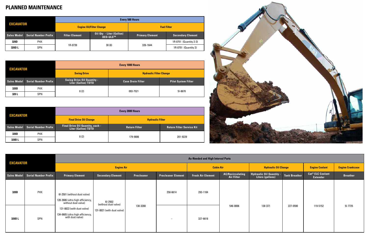| <b>EXCAVATOR</b> |                             | <b>Every 500 Hours</b> |                                                    |                        |                          |  |  |  |
|------------------|-----------------------------|------------------------|----------------------------------------------------|------------------------|--------------------------|--|--|--|
|                  |                             |                        | <b>Engine Oil/Filter Change</b>                    | <b>Fuel Filter</b>     |                          |  |  |  |
| Sales Model      | <b>Serial Number Prefix</b> | <b>Filter Element</b>  | <b>Oil Oty - Liter (Gallon)</b><br><b>DEO-ULS™</b> | <b>Primary Element</b> | <b>Secondary Element</b> |  |  |  |
| 320D             | <b>PHX</b>                  |                        |                                                    |                        | 1R-0751 (Quantity 2-3)   |  |  |  |
| 320D L           | <b>SPN</b>                  | 1R-0739                | 30(8)                                              | 326-1644               | 1R-0751 (Quantity 2)     |  |  |  |

| <b>EXCAVATOR</b>   |                             | <b>Every 1000 Hours</b>                                  |                                |                            |  |  |  |
|--------------------|-----------------------------|----------------------------------------------------------|--------------------------------|----------------------------|--|--|--|
|                    |                             | <b>Swing Drive</b>                                       | <b>Hydraulic Filter Change</b> |                            |  |  |  |
| <b>Sales Model</b> | <b>Serial Number Prefix</b> | <b>Swing Drive Oil Quantity -</b><br>Liter (Gallon) TDTO | <b>Case Drain Filter</b>       | <b>Pilot System Filter</b> |  |  |  |
| 320D               | <b>PHX</b>                  | 8(2)                                                     | 093-7521                       | 51-8670                    |  |  |  |
| 320 L              | <b>SPN</b>                  |                                                          |                                |                            |  |  |  |

| <b>EXCAVATOR</b>   |                             | <b>Every 2000 Hours</b>                                 |                         |                                  |  |  |  |
|--------------------|-----------------------------|---------------------------------------------------------|-------------------------|----------------------------------|--|--|--|
|                    |                             | <b>Final Drive Oil Change</b>                           | <b>Hydraulic Filter</b> |                                  |  |  |  |
| <b>Sales Model</b> | <b>Serial Number Prefix</b> | Final Drive Oil Quantity, each -<br>Liter (Gallon) TDTO | <b>Return Filter</b>    | <b>Return Filter Service Kit</b> |  |  |  |
| 320D               | <b>PHX</b>                  | 8(2)                                                    | 179-9806                | 201-9229                         |  |  |  |
| 320D L             | <b>SPN</b>                  |                                                         |                         |                                  |  |  |  |



|                  |                                  | <b>As-Needed and High Interval Parts</b>                                                |                                                                   |            |                           |                          |                                              |                                                            |                       |                                                       |                 |
|------------------|----------------------------------|-----------------------------------------------------------------------------------------|-------------------------------------------------------------------|------------|---------------------------|--------------------------|----------------------------------------------|------------------------------------------------------------|-----------------------|-------------------------------------------------------|-----------------|
| <b>EXCAVATOR</b> |                                  | <b>Engine Air</b>                                                                       |                                                                   |            | <b>Cabin Air</b>          |                          | <b>Hydraulic Oil Change</b>                  |                                                            | <b>Engine Coolant</b> | <b>Engine Crankcase</b>                               |                 |
|                  | Sales Model Serial Number Prefix | <b>Primary Element</b>                                                                  | Secondary Element                                                 | Precleaner | <b>Precleaner Element</b> | <b>Fresh Air Element</b> | <b>AC/Recirculating</b><br><b>Air Filter</b> | Hydraulic Oil Quantity - Tank Breather<br>Liters (gallons) |                       | <b>Cat<sup>®</sup> ELC Coolant</b><br><b>Extender</b> | <b>Breather</b> |
| 320D             | <b>PHX</b>                       | 6I-2501 (without dust valve)<br>128-2686 (ultra high efficiency,<br>without dust valve) | $61 - 2502$<br>(without dust valve)<br>131-8821 (with dust valve) | 130-3280   | 258-6614                  | 293-1184                 | 546-0006                                     |                                                            |                       |                                                       |                 |
| 320D L           | SPN                              | 131-8822 (with dust valve)<br>134-0685 (ultra high efficiency,<br>with dust valve)      |                                                                   |            | $\overline{\phantom{0}}$  | 327-6618                 |                                              | 138 (37)                                                   | 227-0590              | 119-5152                                              | $51 - 7725$     |

### **PLANNED MAINTENANCE**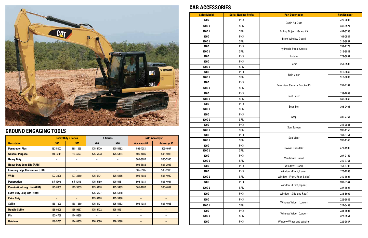|                                       | <b>Heavy Duty J Series</b> |                          |                          | <b>K</b> Series          | <b>CAT<sup>®</sup> Advansys™</b> |                    |
|---------------------------------------|----------------------------|--------------------------|--------------------------|--------------------------|----------------------------------|--------------------|
| <b>Description</b>                    | <b>J300</b>                | <b>J350</b>              | <b>K80</b>               | <b>K90</b>               | <b>Advansys 80</b>               | <b>Advansys 90</b> |
| <b>Penetration Plus</b>               | 183-5300                   | 168-1359                 | 475-5470                 | 475-5482                 | 505-4083                         | 505-4097           |
| <b>General Purpose</b>                | 1U-3302                    | 1U-3352                  | 475-5473                 | 475-5484                 | 505-4086                         | 505-4096           |
| <b>Heavy Duty</b>                     |                            | $\overline{\phantom{m}}$ |                          | $\overline{\phantom{m}}$ | 505-3982                         | 505-3996           |
| <b>Heavy Duty Long Life (ARM)</b>     |                            | $\qquad \qquad -$        |                          |                          | 505-3983                         | 505-3993           |
| <b>Leveling Edge Conversion (LEC)</b> |                            |                          | -                        |                          | 505-3985                         | 505-3995           |
| <b>Wide</b>                           | 107-3300                   | 107-3350                 | 475-5474                 | 475-5485                 | 505-4080                         | 505-4090           |
| <b>Penetration</b>                    | 9J-4309                    | 9J-4359                  | 475-5469                 | 475-5481                 | 505-4081                         | 505-4091           |
| <b>Penetration Long Life (ARM)</b>    | 125-8309                   | 119-9359                 | 475-5478                 | 475-5489                 | 505-4082                         | 505-4092           |
| <b>Extra Duty Long Life (ARM)</b>     |                            | $\overline{\phantom{m}}$ | 475-5477                 | 475-5488                 |                                  |                    |
| <b>Extra Duty</b>                     |                            | $\qquad \qquad -$        | 475-5468                 | 475-5480                 |                                  |                    |
| <b>Spike</b>                          | 168-1300                   | 168-1350                 | 475-5471                 | 475-5483                 | 505-4084                         | 505-4098           |
| <b>Double Spike</b>                   | 135-9308                   | 135-9357                 | 475-5472                 | 475-5491                 |                                  |                    |
| Pin                                   | 132-4766                   | 114-0358                 | $\overline{\phantom{0}}$ |                          |                                  |                    |
| <b>Retainer</b>                       | 149-5733                   | 114-0359                 | 220-9090                 | 220-9090                 |                                  |                    |



# **GROUND ENGAGING TOOLS**

#### **CAB ACCESSORIES**

| <b>Sales Model</b> | <b>Serial Number Prefix</b> | <b>Part Description</b>             | <b>Part Number</b> |
|--------------------|-----------------------------|-------------------------------------|--------------------|
| 320D               | <b>PHX</b>                  | <b>Cabin Air Duct</b>               | 229-9082           |
| 320DL              | SPN                         |                                     | 340-6524           |
| 320DL              | SPN                         | <b>Falling Objects Guard Kit</b>    | 484-8798           |
| 320D               | <b>PHX</b>                  | <b>Front Window Guard</b>           | 164-0534           |
| 320DL              | SPN                         |                                     | 316-8837           |
| 320D               | <b>PHX</b>                  | <b>Hydraulic Pedal Control</b>      | 259-7179           |
| 320DL              | SPN                         |                                     | 316-8842           |
| 320D               | <b>PHX</b>                  | Ladder                              | 279-3087           |
| 320D               | <b>PHX</b>                  | Radio                               | 251-0538           |
| 320DL              | SPN                         |                                     |                    |
| 320D               | <b>PHX</b>                  | <b>Rain Visor</b>                   | 316-8842           |
| 320DL              | SPN                         |                                     | 316-8838           |
| 320D               | <b>PHX</b>                  | <b>Rear View Camera Bracket Kit</b> | 251-4162           |
| 320DL              | SPN                         |                                     |                    |
| 320D               | <b>PHX</b>                  | <b>Roof Hatch</b>                   | 139-7099           |
| 320DL              | SPN                         |                                     | 340-6665           |
| 320D               | <b>PHX</b>                  | <b>Seat Belt</b>                    | 305-0466           |
| 320DL              | SPN                         |                                     |                    |
| 320D               | <b>PHX</b>                  | Step                                | 235-7764           |
| 320DL              | SPN                         |                                     |                    |
| 320D               | <b>PHX</b>                  | Sun Screen                          | 245-7881           |
| 320DL              | SPN                         |                                     | 336-1150           |
| 320D               | <b>PHX</b>                  | Sun Visor                           | 161-3751           |
| 320DL              | SPN                         |                                     | 336-1140           |
| 320D               | <b>PHX</b>                  | <b>Swivel Guard Kit</b>             | 471-1985           |
| 320DL              | SPN                         |                                     |                    |
| 320D               | <b>PHX</b>                  | Vandalism Guard                     | 207-0159           |
| 320DL              | SPN                         |                                     | 340-3761           |
| 320D               | <b>PHX</b>                  | Window (Door)                       | 151-6792           |
| 320D               | <b>PHX</b>                  | Window (Front, Lower)               | 176-1958           |
| 320DL              | SPN                         | Window (Front, Rear, Sides)         | 340-6695           |
| 320D               | <b>PHX</b>                  | Window (Front, Upper)               | 207-0144           |
| 320DL              | SPN                         |                                     | 327-6625           |
| 320D               | <b>PHX</b>                  | Window (Side and Rear)              | 235-8909           |
| 320D               | <b>PHX</b>                  |                                     | 229-9086           |
| 320DL              | SPN                         | Window Wiper (Lower)                | 327-6489           |
| 320D               | <b>PHX</b>                  |                                     | 234-6594           |
| 320DL              | SPN                         | Window Wiper (Upper)                | 327-6551           |
| 320D               | <b>PHX</b>                  | Window Wiper and Washer             | 229-9087           |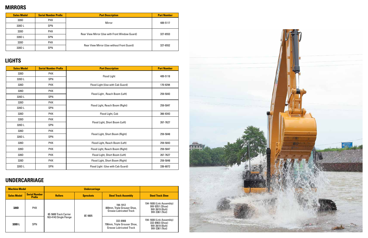### **MIRRORS**

### **LIGHTS**

| <b>Sales Model</b> | <b>Serial Number Prefix</b> | <b>Part Description</b>                        | <b>Part Number</b> |  |
|--------------------|-----------------------------|------------------------------------------------|--------------------|--|
| 320D               | <b>PHX</b>                  |                                                |                    |  |
| 320D L             | <b>SPN</b>                  | Mirror                                         | 489-5117           |  |
| 320D               | <b>PHX</b>                  |                                                | 327-6553           |  |
| 320D L             | <b>SPN</b>                  | Rear View Mirror (Use with Front Window Guard) |                    |  |
| 320D               | <b>PHX</b>                  |                                                |                    |  |
| 320D L             | <b>SPN</b>                  | Rear View Mirror (Use without Front Guard)     | 327-6552           |  |

| <b>Sales Model</b> | <b>Serial Number Prefix</b> | <b>Part Description</b>          | <b>Part Number</b> |  |
|--------------------|-----------------------------|----------------------------------|--------------------|--|
| 320D               | <b>PHX</b>                  | <b>Flood Light</b>               | 489-5118           |  |
| 320DL              | <b>SPN</b>                  |                                  |                    |  |
| 320D               | <b>PHX</b>                  | Flood Light (Use with Cab Guard) | 170-9294           |  |
| 320D               | <b>PHX</b>                  |                                  |                    |  |
| 320DL              | SPN                         | Flood Light, Reach Boom (Left)   | 259-5043           |  |
| 320D               | <b>PHX</b>                  |                                  |                    |  |
| 320DL              | SPN                         | Flood Light, Reach Boom (Right)  | 259-5047           |  |
| 320D               | <b>PHX</b>                  | Flood Light, Cab                 | 366-9343           |  |
| 320D               | <b>PHX</b>                  |                                  |                    |  |
| 320DL              | SPN                         | Flood Light, Short Boom (Left)   | 267-7627           |  |
| 320D               | <b>PHX</b>                  |                                  |                    |  |
| 320DL              | SPN                         | Flood Light, Short Boom (Right)  | 259-5048           |  |
| 320D               | <b>PHX</b>                  | Flood Light, Reach Boom (Left)   | 259-5043           |  |
| 320D               | <b>PHX</b>                  | Flood Light, Reach Boom (Right)  | 259-5047           |  |
| 320D               | <b>PHX</b>                  | Flood Light, Short Boom (Left)   | 267-7627           |  |
| 320D               | <b>PHX</b>                  | Flood Light, Short Boom (Right)  | 259-5048           |  |
| 320DL              | SPN                         | Flood Light (Use with Cab Guard) | 336-6072           |  |

| <b>Machine Model</b> |                                       |                        |                                                 |                                                                           |                                                                                |
|----------------------|---------------------------------------|------------------------|-------------------------------------------------|---------------------------------------------------------------------------|--------------------------------------------------------------------------------|
| <b>Sales Model</b>   | <b>Serial Number</b><br><b>Prefix</b> | <b>Rollers</b>         | <b>Steel Track Assembly</b><br><b>Sprockets</b> |                                                                           | <b>Steel Track Shoe</b>                                                        |
| 320D                 | <b>PHX</b>                            | 8E-5600 Track Carrier  | 8E-9805                                         | 194-1912<br>800mm, Triple Grouser Shoe,<br><b>Grease Lubricated Track</b> | 194-1608 (Link Assembly)<br>9W-9351 (Shoe)<br>9W-3619 (Bolt)<br>9W-3361 (Nut)  |
| 320D L               | <b>SPN</b>                            | 163-4143 Single Flange |                                                 | 332-8908<br>790mm, Triple Grouser Shoe,<br><b>Grease Lubricated Track</b> | 194-1608 (Link Assembly)<br>332-8903 (Shoe)<br>9W-3619 (Bolt)<br>9W-3361 (Nut) |



## **UNDERCARRIAGE**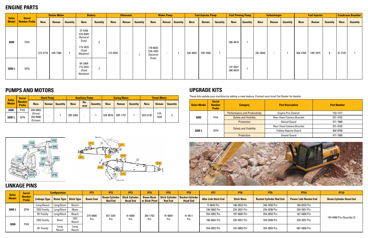#### **ENGINE PARTS**

| <b>Sales</b><br><b>Model</b> | <b>Serial</b><br><b>Number Prefix</b> |                   | <b>Starter Motor</b> |                 | <b>Battery</b>                                                            |                 | <b>Alternator</b> |                          |                 | <b>Water Pump</b>                |                          |                 | <b>Fuel Injector Pump</b> |          | <b>Fuel Priming Pump</b> |                      | <b>Turbocharger</b> |            |                          | <b>Fuel Injector</b> |            |          | <b>Crankcase Breather</b> |             |                 |
|------------------------------|---------------------------------------|-------------------|----------------------|-----------------|---------------------------------------------------------------------------|-----------------|-------------------|--------------------------|-----------------|----------------------------------|--------------------------|-----------------|---------------------------|----------|--------------------------|----------------------|---------------------|------------|--------------------------|----------------------|------------|----------|---------------------------|-------------|-----------------|
|                              |                                       | <b>New</b>        | Reman                | <b>Quantity</b> | <b>New</b>                                                                | <b>Quantity</b> | <b>New</b>        | Reman                    | <b>Quantity</b> | <b>New</b>                       | Reman                    | <b>Quantity</b> | <b>New</b>                | Reman    | <b>Quantity</b>          | <b>New</b>           | <b>Quantity</b>     | <b>New</b> | Reman                    | <b>Quantity</b>      | <b>New</b> | Reman    | <b>Quantity</b>           | <b>New</b>  | <b>Quantity</b> |
| 320D                         | <b>PHX</b>                            | 272-4774 10R-7586 |                      |                 | 3T-5760<br>570-6509<br>(General<br>Duty)<br>115-2422<br>(Cold<br>Weather) |                 | 212-8561          | $\overline{\phantom{0}}$ |                 | 178-6633<br>578-1835<br>(General | $\overline{\phantom{a}}$ |                 | 326-4635                  | 10R-7662 |                          | 390-4679             |                     | 287-0049   | $\overline{\phantom{0}}$ |                      | 326-4700   | 10R-7675 |                           | $51 - 7725$ |                 |
| 320D L                       | SPN                                   |                   |                      |                 | 9X-3404<br>115-2422<br>(Cold<br>Weather)                                  |                 |                   |                          |                 | Duty)                            |                          |                 |                           |          |                          | 137-5541<br>390-4679 |                     |            |                          |                      |            |          |                           |             |                 |

#### **PUMPS AND MOTORS**

P<sub>T3</sub>

PT<sub>5</sub>

PT9

**PT10** 

PT7

#### **LINKAGE PINS**



| <b>Sales</b> | <b>Serial</b>                  |                                 | <b>Head Pump</b> |                 | <b>Auxiliary Pump</b> |            |                 |            | <b>Swing Motor</b> |                 | <b>Travel Motor</b> |                 |                 |  |
|--------------|--------------------------------|---------------------------------|------------------|-----------------|-----------------------|------------|-----------------|------------|--------------------|-----------------|---------------------|-----------------|-----------------|--|
| <b>Model</b> | <b>Number</b><br><b>Prefix</b> | <b>New</b>                      | Reman            | <b>Quantity</b> | <b>New</b>            | Re-<br>man | <b>Quantity</b> | <b>New</b> | <b>Reman</b>       | <b>Quantity</b> | <b>New</b>          | <b>Reman</b>    | <b>Quantity</b> |  |
| 320D         | <b>PHX</b>                     | 256-0093                        |                  |                 |                       |            |                 |            |                    |                 |                     |                 |                 |  |
| 320D L       | SPN                            | (Drive)<br>256-0096<br>(Driven) |                  |                 | 200-3365              |            |                 | 334-9976   | 20R-1757           |                 | 593-5126            | $11R -$<br>1020 | L               |  |

| <b>Sales Model</b> | <b>Serial</b><br><b>Number</b><br><b>Prefix</b> | <b>Category</b>                     | <b>Part Description</b>         | <b>Part Number</b> |
|--------------------|-------------------------------------------------|-------------------------------------|---------------------------------|--------------------|
|                    |                                                 | <b>Performance and Productivity</b> | <b>Engine Pre-Cleaner</b>       | 153-1277           |
| 320D               | <b>PHX</b>                                      | <b>Safety and Visibility</b>        | <b>Rear View Camera Bracket</b> | 251-4162           |
|                    |                                                 | <b>Protection</b>                   | <b>Swivel Guard</b>             | 471-1985           |
|                    |                                                 | <b>Safety and Visibility</b>        | <b>Rear View Camera Bracket</b> | 251-4162           |
| 320D L             | <b>SPN</b>                                      |                                     | <b>Falling Objects Guard</b>    | 484-8798           |
|                    |                                                 | <b>Protection</b>                   | <b>Swivel Guard</b>             | 471-1985           |



These kits update your machine by adding a new feature. Contact your local Cat Dealer for details.

| <b>Sales</b> | <b>Serial</b>                  |                                                | <b>Configuration</b>    |               |                  | PT <sub>1</sub><br>PT <sub>2</sub>                      |                 | PT4<br>PT5                         |                | <b>PT6</b>                                            | PT <sub>7</sub>             | <b>PT8</b>        | PT <sub>9</sub>                | <b>PT10</b>                  | <b>PT12</b>                   |  |  |
|--------------|--------------------------------|------------------------------------------------|-------------------------|---------------|------------------|---------------------------------------------------------|-----------------|------------------------------------|----------------|-------------------------------------------------------|-----------------------------|-------------------|--------------------------------|------------------------------|-------------------------------|--|--|
| <b>Model</b> | <b>Number</b><br><b>Prefix</b> | <b>Linkage Type   Boom Type   Stick Type  </b> |                         |               | <b>Boom Foot</b> | <b>Boom Cylinder   Stick Cylinder</b><br><b>Rod End</b> | <b>Head End</b> | <b>Boom Nose</b><br>or Stick Pivot | <b>Rod End</b> | Stick Cylinder   Bucket Cylinder  <br><b>Head End</b> | <b>Idler Link Stick End</b> | <b>Stick Nose</b> | <b>Bucket Cylinder Rod End</b> | <b>Power Link Bucket End</b> | <b>Boom Cylinder Head End</b> |  |  |
|              |                                | Long Reach   Long/Short                        |                         | Reach         | 315-0800         |                                                         | 41-4809         | 264-1702                           | 41-4809        | 41-4811                                               | 71-6843 Pin                 | 186-0523 Pin      | 248-7820 Pin                   | 186-0523 Pin                 |                               |  |  |
| 320D L       | SPN                            | <b>CB2 Family</b>                              | Long/Short              | Mass          |                  | 437-3391                                                |                 |                                    |                |                                                       | 186-5662 Pin                | 234-3931 Pin      | 234-3930 Pin                   | 234-3931 Pin                 |                               |  |  |
|              |                                | <b>B1 Family</b>                               | Long/Short <sup>1</sup> | Reach         |                  |                                                         |                 |                                    |                |                                                       | 254-3052 Pin                | 187-5805 Pin      | 254-3053 Pin                   | 187-5805 Pin                 |                               |  |  |
| <b>320D</b>  | <b>PHX</b>                     | <b>CB2 Family</b>                              | Short                   | CB2<br>Reach  | Pin              | Pin                                                     | Pin             | Pin                                | Pin            | Pin                                                   | 186-5662 Pin                | 234-3931 Pin      | 234-3930 Pin                   | 234-3931 Pin                 | 154-0480 Pin (Quantity 2)     |  |  |
|              |                                | <b>B1 Family</b>                               | Long<br>Reach           | Long<br>Reach |                  |                                                         |                 |                                    |                |                                                       | 254-3052 Pin                | 187-5805 Pin      | 254-3053 Pin                   | 087-5805 Pin                 |                               |  |  |

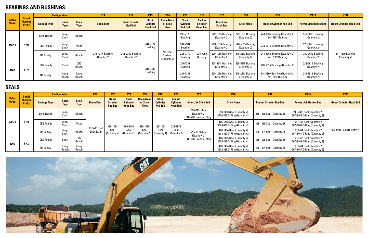#### **BEARINGS AND BUSHINGS**

### **SEALS**

|                              |                                                 |                     | <b>Configuration</b>       |                             | <b>PT1</b>                       | PT <sub>2</sub>                        | PT3                                                | <b>PT4</b>                                   | PT <sub>5</sub>                                   | PT <sub>6</sub>                                     | PT <sub>7</sub>                       | PT <sub>8</sub>                  | PT <sub>9</sub>                                   | <b>PT10</b>                      | <b>PT12</b>                      |
|------------------------------|-------------------------------------------------|---------------------|----------------------------|-----------------------------|----------------------------------|----------------------------------------|----------------------------------------------------|----------------------------------------------|---------------------------------------------------|-----------------------------------------------------|---------------------------------------|----------------------------------|---------------------------------------------------|----------------------------------|----------------------------------|
| <b>Sales</b><br><b>Model</b> | <b>Serial</b><br><b>Number</b><br><b>Prefix</b> | <b>Linkage Type</b> | <b>Boom</b><br><b>Type</b> | <b>Stick</b><br><b>Type</b> | <b>Boom Foot</b>                 | <b>Boom Cylinder</b><br><b>Rod End</b> | <b>Stick</b><br><b>Cylinder</b><br><b>Head End</b> | <b>Boom Nose</b><br>or Stick<br><b>Pivot</b> | <b>Stick</b><br><b>Cylinder</b><br><b>Rod End</b> | <b>Bucket</b><br><b>Cylinder</b><br><b>Head End</b> | <b>Idler Link</b><br><b>Stick End</b> | <b>Stick Nose</b>                | <b>Bucket Cylinder Rod End</b>                    | <b>Power Link Bucket End</b>     | <b>Boom Cylinder Head End</b>    |
|                              |                                                 | Long Reach          | Long/<br>Short             | Reach                       | 244-4277 Bearing<br>(Quantity 2) | 241-7380 Bearing<br>(Quantity 2)       | 235-7770<br><b>Bushing</b>                         | 244-4277<br><b>Bushing</b><br>(Quantity 2)   | 235-7770<br><b>Bushing</b>                        |                                                     | 229-1095 Bushing<br>(Quantity 2)      | 229-1091 Bushing<br>(Quantity 2) | 248-7835 Bearing (Quantity 2)<br>248-7857 Bearing | 517-6019 Bearing<br>(Quantity 2) |                                  |
| 320DL                        | SPN                                             | <b>CB2 Family</b>   | Long/<br>Short             | Mass                        |                                  |                                        |                                                    |                                              | 241-7381<br><b>Bearing</b>                        |                                                     | 228-5614 Bearing<br>(Quantity 2)      | 228-5615 Bearing<br>(Quantity 2) | 228-5615 Bearing (Quantity 3)                     | 228-5615 Bearing<br>(Quantity 2) |                                  |
|                              |                                                 | <b>B1 Family</b>    | Long/<br>Short             | Reach                       |                                  |                                        |                                                    |                                              | 235-7770<br><b>Bushing</b>                        | 235-7769<br><b>Bushing</b>                          | 229-1096 Bushing<br>(Quantity 2)      | 240-2913 Bushing<br>(Quantity 2) | 244-4360 Bearing (Quantity 2)<br>241-7382 Bearing | 240-2912 Bearing<br>(Quantity 2) | 241-7379 Bushing<br>(Quantity 2) |
| 320D                         |                                                 | <b>CB2 Family</b>   | Short                      | CB2<br>Reach                |                                  |                                        | 241-7381<br>Bushing                                |                                              | 241-7381<br><b>Bushing</b>                        |                                                     | 228-5614 Bushing<br>(Quantity 2)      | 228-5615 Bushing<br>(Quantity 2) | 228-5615 Bushing (Quantity 3)                     | 228-5615 Bushing<br>(Quantity 2) |                                  |
|                              | PHX                                             | <b>B1 Family</b>    | Long<br>Reach              | Long<br>Reach               |                                  |                                        |                                                    |                                              | 241-7381<br>Bushing                               |                                                     | 229-1096 Bushing<br>(Quantity 2)      | 240-2913 Bushing<br>(Quantity 2) | 244-4360 Bushing (Quantity 2)<br>241-7382 Bushing | 240-2912 Bushing<br>(Quantity 2) |                                  |

|                              | <b>Serial</b>                  |                     | <b>Configuration</b>       |                             | <b>PT1</b>                    | PT <sub>2</sub>                                  | PT <sub>3</sub>                                    | <b>PT4</b>                                                                                              | PT <sub>5</sub>                                   | PT <sub>6</sub>                                     | PT <sub>7</sub>                                         | PT <sub>8</sub>                                            | PT <sub>9</sub>                | <b>PT10</b>                                                | <b>PT12</b>                   |
|------------------------------|--------------------------------|---------------------|----------------------------|-----------------------------|-------------------------------|--------------------------------------------------|----------------------------------------------------|---------------------------------------------------------------------------------------------------------|---------------------------------------------------|-----------------------------------------------------|---------------------------------------------------------|------------------------------------------------------------|--------------------------------|------------------------------------------------------------|-------------------------------|
| <b>Sales</b><br><b>Model</b> | <b>Number</b><br><b>Prefix</b> | <b>Linkage Type</b> | <b>Boom</b><br><b>Type</b> | <b>Stick</b><br><b>Type</b> | <b>Boom Foot</b>              | <b>Boom</b><br><b>Cylinder</b><br><b>Rod End</b> | <b>Stick</b><br><b>Cylinder</b><br><b>Head End</b> | <b>Boom Nose</b><br>or Stick<br><b>Pivot</b>                                                            | <b>Stick</b><br><b>Cylinder</b><br><b>Rod End</b> | <b>Bucket</b><br><b>Cylinder</b><br><b>Head End</b> | <b>Idler Link Stick End</b>                             | <b>Stick Nose</b>                                          | <b>Bucket Cylinder Rod End</b> | <b>Power Link Bucket End</b>                               | <b>Boom Cylinder Head End</b> |
| 320D L                       |                                | Long Reach          | Long/<br>Short             | Reach                       | 166-1495 Seal<br>(Quantity 2) |                                                  | 166-1494<br>Seal                                   | 166-1495<br>Seal<br>$\vert$ (Quantity 2) $\vert$ (Quantity 2) $\vert$ (Quantity 2) $\vert$ (Quantity 2) | 166-1494<br>Seal                                  | 235-7679<br>Seal                                    | 096-0131 Seal<br>(Quantity 2)<br>3B-8489 Grease Fitting | 093-1433 Seal (Quantity 2)<br>367-8465 O-Ring (Quantity 2) | 235-7679 Seal (Quantity 6)     | 248-7836 Seal (Quantity 2)<br>367-8465 O-Ring (Quantity 2) |                               |
|                              | SPN                            | <b>CB2 Family</b>   | Long/<br>Short             | Mass                        |                               | 166-1494<br>Seal<br>(Quantity 4)                 |                                                    |                                                                                                         |                                                   |                                                     | 235-7679 Seal<br>(Quantity 2)<br>3B-8489 Grease Fitting | 166-1495 Seal (Quantity 2)<br>367-8468 O-Ring (Quantity 2) | 166-1495 Seal (Quantity 6)     | 166-1495 Seal (Quantity 2)<br>367-8468 O-Ring (Quantity 2) |                               |
|                              |                                | <b>B1 Family</b>    | Long/<br>Short             | Reach                       |                               |                                                  |                                                    |                                                                                                         |                                                   |                                                     |                                                         | 166-1494 Seal (Quantity 2)<br>367-8467 O-Ring (Quantity 2) | 166-1494 Seal (Quantity 6)     | 166-1494 Seal (Quantity 2)<br>367-8467 O-Ring (Quantity 2) | 166-1494 Seal (Quantity 4)    |
| 320D                         | <b>PHX</b>                     | <b>CB2 Family</b>   | Short                      | CB2<br>Reach                |                               |                                                  |                                                    |                                                                                                         |                                                   |                                                     |                                                         | 166-1495 Seal (Quantity 2)<br>367-8468 O-Ring (Quantity 2) | 166-1495 Seal (Quantity 6)     | 166-1495 Seal (Quantity 2)<br>367-8468 O-Ring (Quantity 2) |                               |
|                              |                                | <b>B1 Family</b>    | Long<br>Reach              | Long<br>Reach               |                               |                                                  |                                                    |                                                                                                         |                                                   |                                                     |                                                         | 166-1494 Seal (Quantity 2)<br>367-8468 O-Ring (Quantity 2) | 166-1494 Seal (Quantity 6)     | 166-1494 Seal (Quantity 2)<br>367-8467 O-Ring (Quantity 2) |                               |

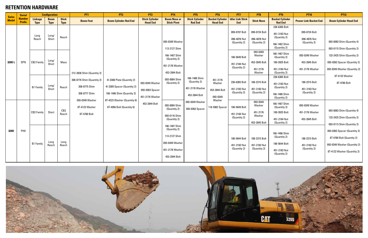|                              | <b>Serial</b>                  |                               | <b>Configuration</b>       |                             | <b>PT1</b>                                                   | PT <sub>2</sub>                                                                         | PT <sub>3</sub>                                       | <b>PT4</b>                                                                                              | PT <sub>5</sub>                                                   | PT <sub>6</sub>                                 | PT7                                           | PT <sub>8</sub>                                           | PT9                                                                            | <b>PT10</b>                                         | <b>PT12</b>                                                                                                              |                                                                   |                                                          |  |                                               |                                                           |                                                                                |
|------------------------------|--------------------------------|-------------------------------|----------------------------|-----------------------------|--------------------------------------------------------------|-----------------------------------------------------------------------------------------|-------------------------------------------------------|---------------------------------------------------------------------------------------------------------|-------------------------------------------------------------------|-------------------------------------------------|-----------------------------------------------|-----------------------------------------------------------|--------------------------------------------------------------------------------|-----------------------------------------------------|--------------------------------------------------------------------------------------------------------------------------|-------------------------------------------------------------------|----------------------------------------------------------|--|-----------------------------------------------|-----------------------------------------------------------|--------------------------------------------------------------------------------|
| <b>Sales</b><br><b>Model</b> | <b>Number</b><br><b>Prefix</b> | <b>Linkage</b><br><b>Type</b> | <b>Boom</b><br><b>Type</b> | <b>Stick</b><br><b>Type</b> | <b>Boom Foot</b>                                             | <b>Boom Cylinder Rod End</b>                                                            | <b>Stick Cylinder</b><br><b>Head End</b>              | <b>Boom Nose or</b><br><b>Stick Pivot</b>                                                               | <b>Stick Cylinder</b><br><b>Rod End</b>                           | <b>Bucket Cylinder</b><br><b>Head End</b>       | <b>Idler Link Stick</b><br><b>End</b>         | <b>Stick Nose</b>                                         | <b>Bucket Cylinder</b><br><b>Rod End</b>                                       | <b>Power Link Bucket End</b>                        | <b>Boom Cylinder Head End</b>                                                                                            |                                                                   |                                                          |  |                                               |                                                           |                                                                                |
|                              |                                | Long<br>Reach                 | Long/<br>Short             | Reach                       |                                                              |                                                                                         | 093-0349 Washer<br>093-0363 Spacer<br>451-2176 Washer |                                                                                                         |                                                                   | 093-0349 Washer<br>113-2127 Shim                |                                               |                                                           | 099-0707 Bolt<br>096-4876 Nut<br>(Quantity 2)                                  | 099-0724 Bolt<br>096-4876 Nut<br>(Quantity 2)       | 236-6365 Bolt<br>451-2183 Nut<br>(Quantity 2)<br>166-1482 Shim<br>(Quantity 2)                                           | 099-0724 Bolt<br>096-4876 Nut<br>(Quantity 2)                     | 093-0083 Shim (Quantity 4)<br>093-0115 Shim (Quantity 2) |  |                                               |                                                           |                                                                                |
| 320D L                       | SPN                            | <b>CB2 Family</b>             | Long/<br>Short             | Mass                        | 212-2838 Shim (Quantity 2)                                   |                                                                                         |                                                       |                                                                                                         |                                                                   |                                                 |                                               |                                                           |                                                                                |                                                     |                                                                                                                          | 166-1487 Shim<br>(Quantity 2)<br>451-2176 Washer<br>453-2844 Bolt |                                                          |  | 186-5649 Bolt<br>451-2184 Nut<br>(Quantity 2) | 093-0349<br>Washer<br>453-2845 Bolt<br>451-2176<br>Washer | 166-1487 Shim<br>(Quantity 2)<br>189-3925 Bolt<br>451-2184 Nut<br>(Quantity 2) |
|                              |                                | <b>B1 Family</b>              | Long/<br>Short             | Reach                       | 308-8776 Shim (Quantity 2)<br>308-8775 Shim<br>308-8777 Shim | 4I-3308 Plate (Quantity 2)<br>41-3309 Spacer (Quantity 2)<br>166-1486 Shim (Quantity 2) |                                                       | 093-0084 Shim<br>(Quantity 2)                                                                           | 166-1486 Shim<br>(Quantity 2)<br>451-2176 Washer<br>453-2844 Bolt | 451-2176<br>Washer<br>453-2844 Bolt<br>093-0349 | 236-6365 Bolt<br>451-2183 Nut<br>(Quantity 2) | 188-2315 Bolt<br>451-2183 Nut<br>(Quantity 2)             | 236-6365 Bolt<br>451-2183 Nut<br>(Quantity 2)<br>166-1486 Shim<br>(Quantity 2) | 188-2315 Bolt<br>451-2183 Nut<br>(Quantity 2)       | 8T-4123 Washer<br>8T-4780 Bolt                                                                                           |                                                                   |                                                          |  |                                               |                                                           |                                                                                |
|                              |                                | <b>CB2 Family</b>             | Short                      | CB2<br>Reach                | 093-0349 Washer<br>8T-4123 Washer<br>8T-4780 Bolt            | 8T-4223 Washer (Quantity 6)<br>8T-4956 Bolt (Quantity 6)                                | 453-2844 Bolt                                         | 093-0084 Shim<br>(Quantity 2)<br>093-0116 Shim<br>(Quantity 2)                                          | 093-0349 Washer<br>093-0363 Spacer                                | Washer<br>118-5982 Spacer                       | 186-5649 Bolt<br>451-2184 Nut<br>(Quantity 2) | 093-0349<br>Washer<br>451-2176<br>Washer<br>453-2845 Bolt | 166-1487 Shim<br>(Quantity 2)<br>189-3925 Bolt<br>451-2184 Nut<br>(Quantity 2) | 093-0349 Washer<br>451-2176 Washer<br>453-2845 Bolt | 093-0083 Shim (Quantity 4)<br>133-2425 Shim (Quantity 2)<br>093-0115 Shim (Quantity 2)                                   |                                                                   |                                                          |  |                                               |                                                           |                                                                                |
| 320D                         | PHX                            | <b>B1 Family</b>              | Long<br>Reach              | Long<br>Reach               |                                                              |                                                                                         |                                                       | 166-1487 Shim<br>(Quantity 2)<br>113-2127 Shim<br>  093-0349 Washer<br>451-2176 Washer<br>453-2844 Bolt |                                                                   |                                                 | 186-5644 Bolt<br>451-2183 Nut<br>(Quantity 2) | 188-2315 Bolt<br>451-2183 Nut<br>(Quantity 2)             | 166-1486 Shim<br>(Quantity 2)<br>186-5644 Bolt<br>451-2183 Nut<br>(Quantity 2) | 188-2315 Bolt<br>451-2183 Nut<br>(Quantity 2)       | 093-0363 Spacer (Quantity 2)<br>8T-4780 Bolt (Quantity 2)<br>093-0349 Washer (Quantity 2)<br>8T-4123 Washer (Quantity 2) |                                                                   |                                                          |  |                                               |                                                           |                                                                                |



#### **RETENTION HARDWARE**